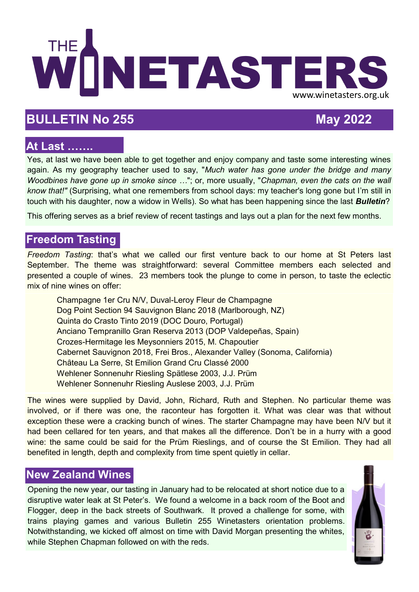

# **BULLETIN No 255 May 2022**

## **At Last …….**

Yes, at last we have been able to get together and enjoy company and taste some interesting wines again. As my geography teacher used to say, "*Much water has gone under the bridge and many Woodbines have gone up in smoke since …*"; or, more usually, "*Chapman, even the cats on the wall know that!"* (Surprising, what one remembers from school days: my teacher's long gone but I'm still in touch with his daughter, now a widow in Wells). So what has been happening since the last *Bulletin*?

This offering serves as a brief review of recent tastings and lays out a plan for the next few months.

## **Freedom Tasting**

*Freedom Tasting*: that's what we called our first venture back to our home at St Peters last September. The theme was straightforward: several Committee members each selected and presented a couple of wines. 23 members took the plunge to come in person, to taste the eclectic mix of nine wines on offer:

Champagne 1er Cru N/V, Duval-Leroy Fleur de Champagne Dog Point Section 94 Sauvignon Blanc 2018 (Marlborough, NZ) Quinta do Crasto Tinto 2019 (DOC Douro, Portugal) Anciano Tempranillo Gran Reserva 2013 (DOP Valdepeñas, Spain) Crozes-Hermitage les Meysonniers 2015, M. Chapoutier Cabernet Sauvignon 2018, Frei Bros., Alexander Valley (Sonoma, California) Château La Serre, St Emilion Grand Cru Classé 2000 Wehlener Sonnenuhr Riesling Spätlese 2003, J.J. Prüm Wehlener Sonnenuhr Riesling Auslese 2003, J.J. Prüm

The wines were supplied by David, John, Richard, Ruth and Stephen. No particular theme was involved, or if there was one, the raconteur has forgotten it. What was clear was that without exception these were a cracking bunch of wines. The starter Champagne may have been N/V but it had been cellared for ten years, and that makes all the difference. Don't be in a hurry with a good wine: the same could be said for the Prüm Rieslings, and of course the St Emilion. They had all benefited in length, depth and complexity from time spent quietly in cellar.

# **New Zealand Wines**

Opening the new year, our tasting in January had to be relocated at short notice due to a disruptive water leak at St Peter's. We found a welcome in a back room of the Boot and Flogger, deep in the back streets of Southwark. It proved a challenge for some, with trains playing games and various Bulletin 255 Winetasters orientation problems. Notwithstanding, we kicked off almost on time with David Morgan presenting the whites, while Stephen Chapman followed on with the reds.

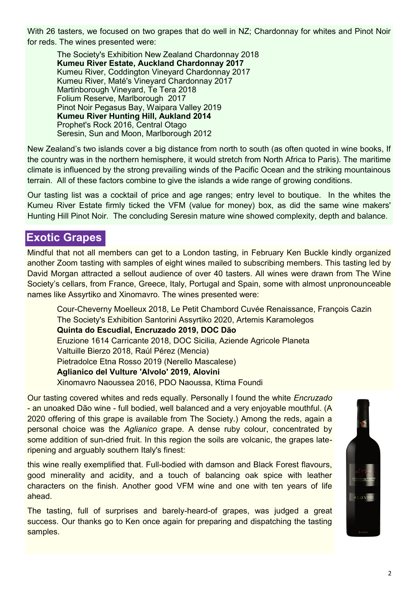With 26 tasters, we focused on two grapes that do well in NZ; Chardonnay for whites and Pinot Noir for reds. The wines presented were:

The Society's Exhibition New Zealand Chardonnay 2018 **Kumeu River Estate, Auckland Chardonnay 2017** Kumeu River, Coddington Vineyard Chardonnay 2017 Kumeu River, Maté's Vineyard Chardonnay 2017 Martinborough Vineyard, Te Tera 2018 Folium Reserve, Marlborough 2017 Pinot Noir Pegasus Bay, Waipara Valley 2019 **Kumeu River Hunting Hill, Aukland 2014** Prophet's Rock 2016, Central Otago Seresin, Sun and Moon, Marlborough 2012

New Zealand's two islands cover a big distance from north to south (as often quoted in wine books, If the country was in the northern hemisphere, it would stretch from North Africa to Paris). The maritime climate is influenced by the strong prevailing winds of the Pacific Ocean and the striking mountainous terrain. All of these factors combine to give the islands a wide range of growing conditions.

Our tasting list was a cocktail of price and age ranges; entry level to boutique. In the whites the Kumeu River Estate firmly ticked the VFM (value for money) box, as did the same wine makers' Hunting Hill Pinot Noir. The concluding Seresin mature wine showed complexity, depth and balance.

#### **Exotic Grapes**

Mindful that not all members can get to a London tasting, in February Ken Buckle kindly organized another Zoom tasting with samples of eight wines mailed to subscribing members. This tasting led by David Morgan attracted a sellout audience of over 40 tasters. All wines were drawn from The Wine Society's cellars, from France, Greece, Italy, Portugal and Spain, some with almost unpronounceable names like Assyrtiko and Xinomavro. The wines presented were:

Cour-Cheverny Moelleux 2018, Le Petit Chambord Cuvée Renaissance, François Cazin The Society's Exhibition Santorini Assyrtiko 2020, Artemis Karamolegos **Quinta do Escudial, Encruzado 2019, DOC Dão** Eruzione 1614 Carricante 2018, DOC Sicilia, Aziende Agricole Planeta Valtuille Bierzo 2018, Raúl Pérez (Mencia) Pietradolce Etna Rosso 2019 (Nerello Mascalese) **Aglianico del Vulture 'Alvolo' 2019, Alovini** Xinomavro Naoussea 2016, PDO Naoussa, Ktima Foundi

Our tasting covered whites and reds equally. Personally I found the white *Encruzado*  - an unoaked Dão wine - full bodied, well balanced and a very enjoyable mouthful. (A 2020 offering of this grape is available from The Society.) Among the reds, again a personal choice was the *Aglianico* grape. A dense ruby colour, concentrated by some addition of sun-dried fruit. In this region the soils are volcanic, the grapes lateripening and arguably southern Italy's finest:

this wine really exemplified that. Full-bodied with damson and Black Forest flavours, good minerality and acidity, and a touch of balancing oak spice with leather characters on the finish. Another good VFM wine and one with ten years of life ahead.

The tasting, full of surprises and barely-heard-of grapes, was judged a great success. Our thanks go to Ken once again for preparing and dispatching the tasting samples.

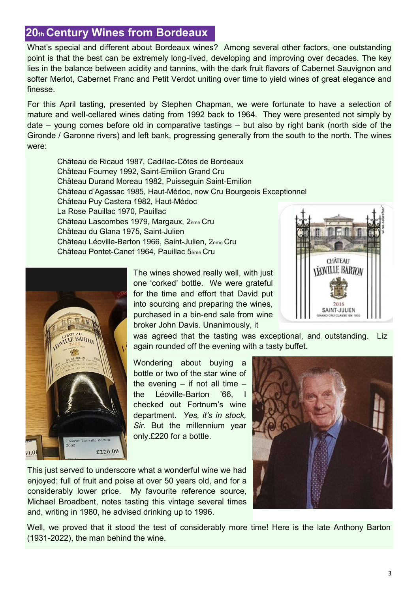# **20th Century Wines from Bordeaux**

What's special and different about Bordeaux wines? Among several other factors, one outstanding point is that the best can be extremely long-lived, developing and improving over decades. The key lies in the balance between acidity and tannins, with the dark fruit flavors of Cabernet Sauvignon and softer Merlot, Cabernet Franc and Petit Verdot uniting over time to yield wines of great elegance and finesse.

For this April tasting, presented by Stephen Chapman, we were fortunate to have a selection of mature and well-cellared wines dating from 1992 back to 1964. They were presented not simply by date – young comes before old in comparative tastings – but also by right bank (north side of the Gironde / Garonne rivers) and left bank, progressing generally from the south to the north. The wines were:

Château de Ricaud 1987, Cadillac-Côtes de Bordeaux Château Fourney 1992, Saint-Emilion Grand Cru Château Durand Moreau 1982, Puisseguin Saint-Emilion Château d'Agassac 1985, Haut-Médoc, now Cru Bourgeois Exceptionnel Château Puy Castera 1982, Haut-Médoc La Rose Pauillac 1970, Pauillac Château Lascombes 1979, Margaux, 2ème Cru Château du Glana 1975, Saint-Julien Château Léoville-Barton 1966, Saint-Julien, 2ème Cru Château Pontet-Canet 1964, Pauillac 5ème Cru



The wines showed really well, with just one 'corked' bottle. We were grateful for the time and effort that David put into sourcing and preparing the wines, purchased in a bin-end sale from wine broker John Davis. Unanimously, it



was agreed that the tasting was exceptional, and outstanding. Liz again rounded off the evening with a tasty buffet.

Wondering about buying a bottle or two of the star wine of the evening  $-$  if not all time  $$ the Léoville-Barton '66. checked out Fortnum's wine department. *Yes, it's in stock, Sir*. But the millennium year only.£220 for a bottle.

This just served to underscore what a wonderful wine we had enjoyed: full of fruit and poise at over 50 years old, and for a considerably lower price. My favourite reference source, Michael Broadbent, notes tasting this vintage several times and, writing in 1980, he advised drinking up to 1996.



Well, we proved that it stood the test of considerably more time! Here is the late Anthony Barton (1931-2022), the man behind the wine.